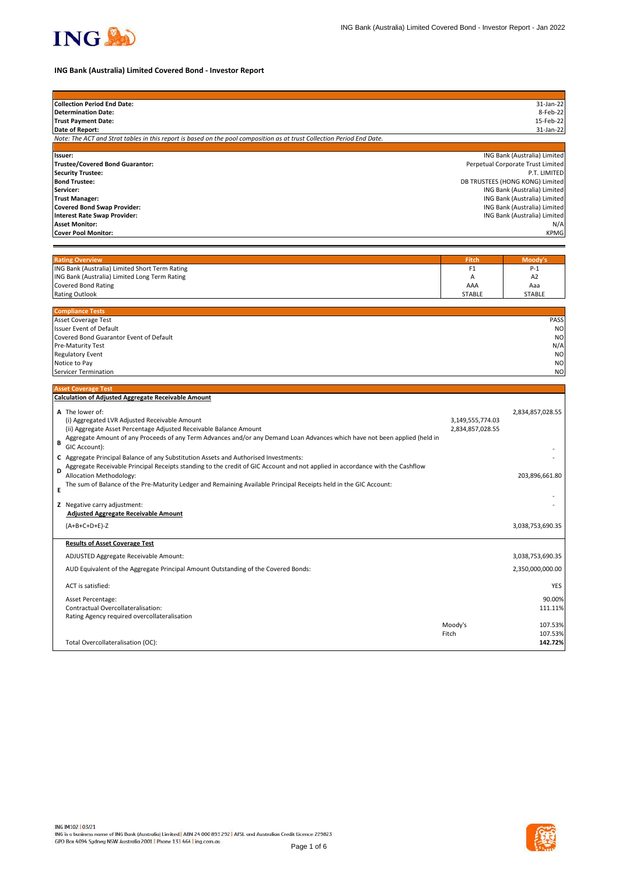

# **ING Bank (Australia) Limited Covered Bond - Investor Report**

| <b>Collection Period End Date:</b>                                                                                            |                  | 31-Jan-22                                                    |
|-------------------------------------------------------------------------------------------------------------------------------|------------------|--------------------------------------------------------------|
| <b>Determination Date:</b>                                                                                                    |                  | 8-Feb-22                                                     |
| <b>Trust Payment Date:</b>                                                                                                    |                  | 15-Feb-22                                                    |
| Date of Report:                                                                                                               |                  | 31-Jan-22                                                    |
| Note: The ACT and Strat tables in this report is based on the pool composition as at trust Collection Period End Date.        |                  |                                                              |
|                                                                                                                               |                  |                                                              |
| Issuer:                                                                                                                       |                  | ING Bank (Australia) Limited                                 |
| <b>Trustee/Covered Bond Guarantor:</b>                                                                                        |                  | Perpetual Corporate Trust Limited                            |
| <b>Security Trustee:</b>                                                                                                      |                  | P.T. LIMITED                                                 |
| <b>Bond Trustee:</b>                                                                                                          |                  | DB TRUSTEES (HONG KONG) Limited                              |
| Servicer:<br><b>Trust Manager:</b>                                                                                            |                  | ING Bank (Australia) Limited                                 |
| <b>Covered Bond Swap Provider:</b>                                                                                            |                  | ING Bank (Australia) Limited<br>ING Bank (Australia) Limited |
| <b>Interest Rate Swap Provider:</b>                                                                                           |                  | ING Bank (Australia) Limited                                 |
| <b>Asset Monitor:</b>                                                                                                         |                  | N/A                                                          |
| <b>Cover Pool Monitor:</b>                                                                                                    |                  | <b>KPMG</b>                                                  |
|                                                                                                                               |                  |                                                              |
|                                                                                                                               |                  |                                                              |
| <b>Rating Overview</b>                                                                                                        | Fitch            | Moody's                                                      |
| ING Bank (Australia) Limited Short Term Rating                                                                                | F <sub>1</sub>   | $P-1$                                                        |
| ING Bank (Australia) Limited Long Term Rating                                                                                 | Α                | A <sub>2</sub>                                               |
| <b>Covered Bond Rating</b>                                                                                                    | AAA              | Aaa                                                          |
| <b>Rating Outlook</b>                                                                                                         | <b>STABLE</b>    | <b>STABLE</b>                                                |
|                                                                                                                               |                  |                                                              |
| <b>Compliance Tests</b><br><b>Asset Coverage Test</b>                                                                         |                  | PASS                                                         |
| <b>Issuer Event of Default</b>                                                                                                |                  | <b>NO</b>                                                    |
| Covered Bond Guarantor Event of Default                                                                                       |                  | N <sub>O</sub>                                               |
| Pre-Maturity Test                                                                                                             |                  | N/A                                                          |
| <b>Regulatory Event</b>                                                                                                       |                  | N <sub>O</sub>                                               |
| Notice to Pay                                                                                                                 |                  | N <sub>O</sub>                                               |
| Servicer Termination                                                                                                          |                  | N <sub>O</sub>                                               |
|                                                                                                                               |                  |                                                              |
| <b>Asset Coverage Test</b>                                                                                                    |                  |                                                              |
| <b>Calculation of Adjusted Aggregate Receivable Amount</b>                                                                    |                  |                                                              |
| A The lower of:                                                                                                               |                  | 2,834,857,028.55                                             |
| (i) Aggregated LVR Adjusted Receivable Amount                                                                                 | 3,149,555,774.03 |                                                              |
| (ii) Aggregate Asset Percentage Adjusted Receivable Balance Amount                                                            | 2,834,857,028.55 |                                                              |
| Aggregate Amount of any Proceeds of any Term Advances and/or any Demand Loan Advances which have not been applied (held in    |                  |                                                              |
| В<br>GIC Account):                                                                                                            |                  |                                                              |
| C Aggregate Principal Balance of any Substitution Assets and Authorised Investments:                                          |                  |                                                              |
| Aggregate Receivable Principal Receipts standing to the credit of GIC Account and not applied in accordance with the Cashflow |                  |                                                              |
| D<br>Allocation Methodology:                                                                                                  |                  | 203,896,661.80                                               |
| The sum of Balance of the Pre-Maturity Ledger and Remaining Available Principal Receipts held in the GIC Account:             |                  |                                                              |
| Е                                                                                                                             |                  |                                                              |
|                                                                                                                               |                  |                                                              |
| Z Negative carry adjustment:                                                                                                  |                  |                                                              |
| <b>Adjusted Aggregate Receivable Amount</b>                                                                                   |                  |                                                              |
| $(A+B+C+D+E)-Z$                                                                                                               |                  | 3,038,753,690.35                                             |
| <b>Results of Asset Coverage Test</b>                                                                                         |                  |                                                              |
|                                                                                                                               |                  |                                                              |
| ADJUSTED Aggregate Receivable Amount:                                                                                         |                  | 3,038,753,690.35                                             |
| AUD Equivalent of the Aggregate Principal Amount Outstanding of the Covered Bonds:                                            |                  | 2,350,000,000.00                                             |
| ACT is satisfied:                                                                                                             |                  | YES                                                          |
| Asset Percentage:                                                                                                             |                  | 90.00%                                                       |
| Contractual Overcollateralisation:                                                                                            |                  | 111.11%                                                      |
| Rating Agency required overcollateralisation                                                                                  |                  |                                                              |
|                                                                                                                               | Moody's          | 107.53%                                                      |
|                                                                                                                               | Fitch            | 107.53%                                                      |
| Total Overcollateralisation (OC):                                                                                             |                  | 142.72%                                                      |
|                                                                                                                               |                  |                                                              |

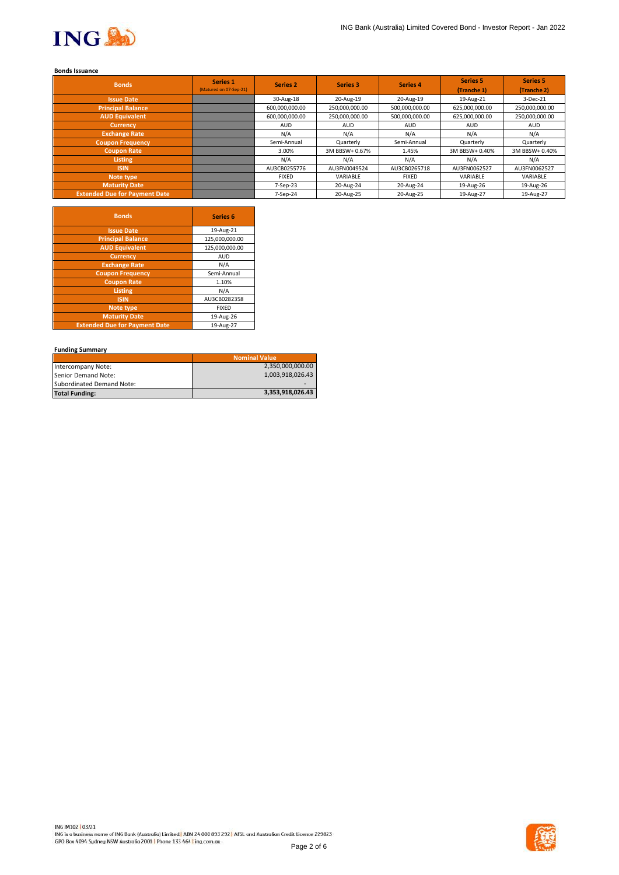

## **Bonds Issuance**

| <b>Bonds</b>                         | Series 1<br>(Matured on 07-Sep-21) | <b>Series 2</b> | <b>Series 3</b> | <b>Series 4</b> | <b>Series 5</b><br>(Tranche 1) | Series 5<br>(Tranche 2) |
|--------------------------------------|------------------------------------|-----------------|-----------------|-----------------|--------------------------------|-------------------------|
| <b>Issue Date</b>                    |                                    | 30-Aug-18       | 20-Aug-19       | 20-Aug-19       | 19-Aug-21                      | 3-Dec-21                |
| <b>Principal Balance</b>             |                                    | 600,000,000.00  | 250,000,000.00  | 500,000,000.00  | 625,000,000.00                 | 250,000,000.00          |
| <b>AUD Equivalent</b>                |                                    | 600,000,000.00  | 250,000,000.00  | 500,000,000.00  | 625,000,000.00                 | 250,000,000.00          |
| <b>Currency</b>                      |                                    | <b>AUD</b>      | <b>AUD</b>      | <b>AUD</b>      | <b>AUD</b>                     | AUD                     |
| <b>Exchange Rate</b>                 |                                    | N/A             | N/A             | N/A             | N/A                            | N/A                     |
| <b>Coupon Frequency</b>              |                                    | Semi-Annual     | Quarterly       | Semi-Annual     | Quarterly                      | Quarterly               |
| <b>Coupon Rate</b>                   |                                    | 3.00%           | 3M BBSW+ 0.67%  | 1.45%           | 3M BBSW+ 0.40%                 | 3M BBSW+ 0.40%          |
| <b>Listing</b>                       |                                    | N/A             | N/A             | N/A             | N/A                            | N/A                     |
| <b>ISIN</b>                          |                                    | AU3CB0255776    | AU3FN0049524    | AU3CB0265718    | AU3FN0062527                   | AU3FN0062527            |
| Note type                            |                                    | <b>FIXED</b>    | VARIABLE        | <b>FIXED</b>    | VARIABLE                       | VARIABLE                |
| <b>Maturity Date</b>                 |                                    | 7-Sep-23        | 20-Aug-24       | 20-Aug-24       | 19-Aug-26                      | 19-Aug-26               |
| <b>Extended Due for Payment Date</b> |                                    | 7-Sep-24        | 20-Aug-25       | 20-Aug-25       | 19-Aug-27                      | 19-Aug-27               |

| <b>Bonds</b>                         | <b>Series 6</b> |
|--------------------------------------|-----------------|
| <b>Issue Date</b>                    | 19-Aug-21       |
| <b>Principal Balance</b>             | 125,000,000.00  |
| <b>AUD Equivalent</b>                | 125,000,000.00  |
| <b>Currency</b>                      | <b>AUD</b>      |
| <b>Exchange Rate</b>                 | N/A             |
| <b>Coupon Frequency</b>              | Semi-Annual     |
| <b>Coupon Rate</b>                   | 1.10%           |
| <b>Listing</b>                       | N/A             |
| <b>ISIN</b>                          | AU3CB0282358    |
| Note type                            | <b>FIXED</b>    |
| <b>Maturity Date</b>                 | 19-Aug-26       |
| <b>Extended Due for Payment Date</b> | 19-Aug-27       |

## **Funding Summary**

|                           | <b>Nominal Value</b> |
|---------------------------|----------------------|
| Intercompany Note:        | 2,350,000,000.00     |
| Senior Demand Note:       | 1,003,918,026.43     |
| Subordinated Demand Note: |                      |
| <b>Total Funding:</b>     | 3,353,918,026.43     |

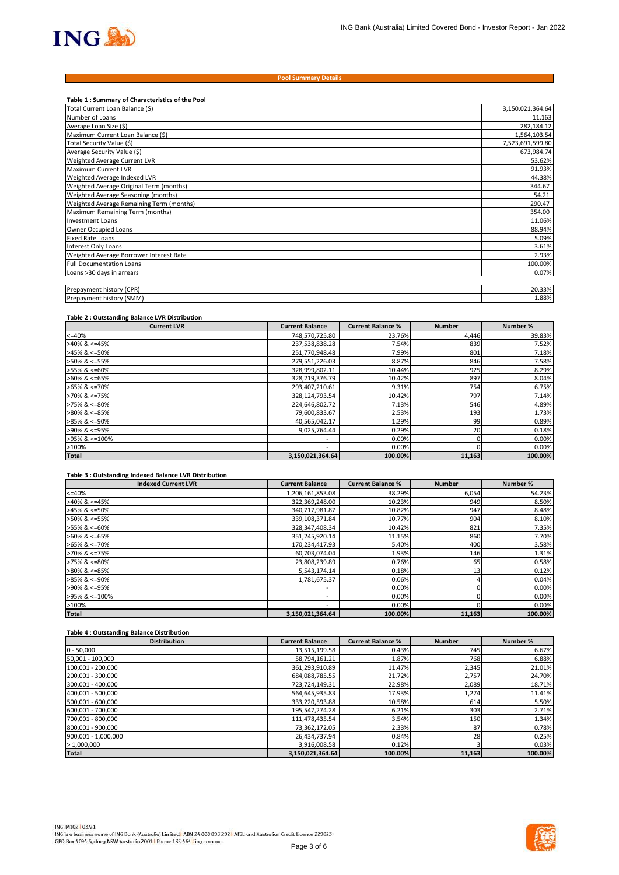

#### **Pool Summary Details**

| Table 1: Summary of Characteristics of the Pool |                  |
|-------------------------------------------------|------------------|
| Total Current Loan Balance (\$)                 | 3,150,021,364.64 |
| Number of Loans                                 | 11,163           |
| Average Loan Size (\$)                          | 282,184.12       |
| Maximum Current Loan Balance (\$)               | 1,564,103.54     |
| Total Security Value (\$)                       | 7,523,691,599.80 |
| Average Security Value (\$)                     | 673,984.74       |
| Weighted Average Current LVR                    | 53.62%           |
| Maximum Current LVR                             | 91.93%           |
| Weighted Average Indexed LVR                    | 44.38%           |
| Weighted Average Original Term (months)         | 344.67           |
| Weighted Average Seasoning (months)             | 54.21            |
| Weighted Average Remaining Term (months)        | 290.47           |
| Maximum Remaining Term (months)                 | 354.00           |
| <b>Investment Loans</b>                         | 11.06%           |
| Owner Occupied Loans                            | 88.94%           |
| <b>Fixed Rate Loans</b>                         | 5.09%            |
| Interest Only Loans                             | 3.61%            |
| Weighted Average Borrower Interest Rate         | 2.93%            |
| <b>Full Documentation Loans</b>                 | 100.00%          |
| Loans >30 days in arrears                       | 0.07%            |
|                                                 |                  |
| Prepayment history (CPR)                        | 20.33%           |
| Prepayment history (SMM)                        | 1.88%            |

### **Table 2 : Outstanding Balance LVR Distribution**

| <b>Current LVR</b>    | <b>Current Balance</b>   | <b>Current Balance %</b> | <b>Number</b> | Number % |
|-----------------------|--------------------------|--------------------------|---------------|----------|
| $<=40%$               | 748,570,725.80           | 23.76%                   | 4,446         | 39.83%   |
| $>40\%$ & <=45%       | 237,538,838.28           | 7.54%                    | 839           | 7.52%    |
| $>45\%$ & <=50%       | 251,770,948.48           | 7.99%                    | 801           | 7.18%    |
| >50% & <=55%          | 279,551,226.03           | 8.87%                    | 846           | 7.58%    |
| >55% & <=60%          | 328,999,802.11           | 10.44%                   | 925           | 8.29%    |
| $>60\%$ & <=65%       | 328,219,376.79           | 10.42%                   | 897           | 8.04%    |
| $>65\%$ & <=70%       | 293,407,210.61           | 9.31%                    | 754           | 6.75%    |
| $>70\%$ & $\leq 75\%$ | 328,124,793.54           | 10.42%                   | 797           | 7.14%    |
| $>75\%$ & $\leq 80\%$ | 224,646,802.72           | 7.13%                    | 546           | 4.89%    |
| $>80\%$ & <=85%       | 79,600,833.67            | 2.53%                    | 193           | 1.73%    |
| $>85\%$ & <=90%       | 40,565,042.17            | 1.29%                    | 99            | 0.89%    |
| >90% & <=95%          | 9.025.764.44             | 0.29%                    | 20            | 0.18%    |
| >95% & <=100%         | $\overline{\phantom{a}}$ | 0.00%                    |               | 0.00%    |
| >100%                 | $\overline{\phantom{a}}$ | 0.00%                    |               | 0.00%    |
| <b>Total</b>          | 3,150,021,364.64         | 100.00%                  | 11,163        | 100.00%  |

### **Table 3 : Outstanding Indexed Balance LVR Distribution**

| <b>Indexed Current LVR</b> | <b>Current Balance</b>   | <b>Current Balance %</b> | <b>Number</b> | Number % |
|----------------------------|--------------------------|--------------------------|---------------|----------|
| $<=40%$                    | 1,206,161,853.08         | 38.29%                   | 6,054         | 54.23%   |
| $>40\%$ & <=45%            | 322,369,248.00           | 10.23%                   | 949           | 8.50%    |
| $>45\%$ & <=50%            | 340,717,981.87           | 10.82%                   | 947           | 8.48%    |
| >50% & <=55%               | 339,108,371.84           | 10.77%                   | 904           | 8.10%    |
| >55% & <=60%               | 328,347,408.34           | 10.42%                   | 821           | 7.35%    |
| $>60\%$ & <=65%            | 351,245,920.14           | 11.15%                   | 860           | 7.70%    |
| $>65\%$ & <=70%            | 170,234,417.93           | 5.40%                    | 400           | 3.58%    |
| $>70\%$ & <=75%            | 60,703,074.04            | 1.93%                    | 146           | 1.31%    |
| $>75\%$ & $\leq 80\%$      | 23,808,239.89            | 0.76%                    | 65            | 0.58%    |
| $>80\%$ & <=85%            | 5,543,174.14             | 0.18%                    | 13            | 0.12%    |
| $>85\%$ & <=90%            | 1,781,675.37             | 0.06%                    |               | 0.04%    |
| >90% & <=95%               | $\overline{\phantom{a}}$ | 0.00%                    |               | 0.00%    |
| >95% & <=100%              | $\overline{\phantom{a}}$ | 0.00%                    |               | 0.00%    |
| >100%                      | ۰                        | 0.00%                    |               | 0.00%    |
| <b>Total</b>               | 3,150,021,364.64         | 100.00%                  | 11,163        | 100.00%  |

## **Table 4 : Outstanding Balance Distribution**

| <b>Distribution</b> | <b>Current Balance</b> | <b>Current Balance %</b> | <b>Number</b> | Number % |
|---------------------|------------------------|--------------------------|---------------|----------|
| $0 - 50,000$        | 13,515,199.58          | 0.43%                    | 745           | 6.67%    |
| 50,001 - 100,000    | 58,794,161.21          | 1.87%                    | 768           | 6.88%    |
| 100,001 - 200,000   | 361,293,910.89         | 11.47%                   | 2,345         | 21.01%   |
| 200,001 - 300,000   | 684,088,785.55         | 21.72%                   | 2,757         | 24.70%   |
| 300,001 - 400,000   | 723,724,149.31         | 22.98%                   | 2,089         | 18.71%   |
| 400,001 - 500,000   | 564,645,935.83         | 17.93%                   | 1,274         | 11.41%   |
| 500,001 - 600,000   | 333,220,593.88         | 10.58%                   | 614           | 5.50%    |
| 600,001 - 700,000   | 195,547,274.28         | 6.21%                    | 303           | 2.71%    |
| 700,001 - 800,000   | 111,478,435.54         | 3.54%                    | 150           | 1.34%    |
| 800,001 - 900,000   | 73,362,172.05          | 2.33%                    | 87            | 0.78%    |
| 900,001 - 1,000,000 | 26,434,737.94          | 0.84%                    | 28            | 0.25%    |
| >1,000,000          | 3,916,008.58           | 0.12%                    |               | 0.03%    |
| <b>Total</b>        | 3,150,021,364.64       | 100.00%                  | 11,163        | 100.00%  |

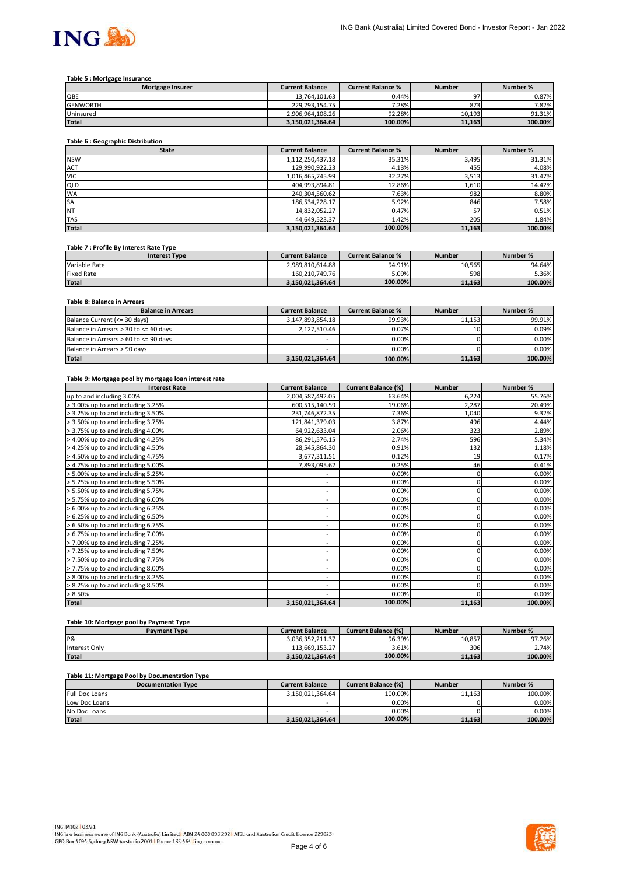

#### **Table 5 : Mortgage Insurance**

| <b>Mortgage Insurer</b> | <b>Current Balance</b> | <b>Current Balance %</b> | <b>Number</b> | Number % |
|-------------------------|------------------------|--------------------------|---------------|----------|
| QBE                     | 13.764.101.63          | 0.44%                    | n7            | 0.87%    |
| <b>GENWORTH</b>         | 229.293.154.75         | 7.28%                    | 873           | 7.82%    |
| Uninsured               | 2.906.964.108.26       | 92.28%                   | 10.193        | 91.31%   |
| <b>Total</b>            | 3.150.021.364.64       | 100.00%                  | 11.163        | 100.00%  |

## **Table 6 : Geographic Distribution**

| <b>State</b> | <b>Current Balance</b> | <b>Current Balance %</b> | <b>Number</b> | Number % |
|--------------|------------------------|--------------------------|---------------|----------|
| <b>NSW</b>   | 1,112,250,437.18       | 35.31%                   | 3,495         | 31.31%   |
| <b>ACT</b>   | 129,990,922.23         | 4.13%                    | 455           | 4.08%    |
| <b>VIC</b>   | 1,016,465,745.99       | 32.27%                   | 3,513         | 31.47%   |
| <b>QLD</b>   | 404,993,894.81         | 12.86%                   | 1,610         | 14.42%   |
| <b>WA</b>    | 240,304,560.62         | 7.63%                    | 982           | 8.80%    |
| <b>SA</b>    | 186,534,228.17         | 5.92%                    | 846           | 7.58%    |
| <b>NT</b>    | 14,832,052.27          | 0.47%                    | 57            | 0.51%    |
| <b>TAS</b>   | 44,649,523.37          | 1.42%                    | 205           | 1.84%    |
| <b>Total</b> | 3,150,021,364.64       | 100.00%                  | 11,163        | 100.00%  |

#### **Table 7 : Profile By Interest Rate Type**

| <b>Interest Type</b> | <b>Current Balance</b> | <b>Current Balance %</b> | Number | Number % |
|----------------------|------------------------|--------------------------|--------|----------|
| Variable Rate        | 2.989.810.614.88       | 94.91%                   | 10.565 | 94.64%   |
| <b>Fixed Rate</b>    | 160.210.749.76         | 5.09%                    | 598    | 5.36%    |
| <b>Total</b>         | 3.150.021.364.64       | 100.00%                  | 11.163 | 100.00%  |

# **Table 8: Balance in Arrears**

| <b>Balance in Arrears</b>             | <b>Current Balance</b> | <b>Current Balance %</b> | <b>Number</b> | Number % |
|---------------------------------------|------------------------|--------------------------|---------------|----------|
| Balance Current (<= 30 days)          | 3,147,893,854.18       | 99.93%                   | 11.153        | 99.91%   |
| Balance in Arrears > 30 to <= 60 days | 2,127,510.46           | 0.07%                    | 10            | 0.09%    |
| Balance in Arrears > 60 to <= 90 days | -                      | $0.00\%$                 |               | 0.00%    |
| Balance in Arrears > 90 days          | -                      | 0.00%                    |               | 0.00%    |
| <b>Total</b>                          | 3,150,021,364.64       | 100.00%                  | 11,163        | 100.00%  |

#### **Table 9: Mortgage pool by mortgage loan interest rate**

| <b>Interest Rate</b>              | <b>Current Balance</b>       | <b>Current Balance (%)</b> | <b>Number</b> | Number % |
|-----------------------------------|------------------------------|----------------------------|---------------|----------|
| up to and including 3.00%         | 2,004,587,492.05             | 63.64%                     | 6,224         | 55.76%   |
| > 3.00% up to and including 3.25% | 600,515,140.59               | 19.06%                     | 2,287         | 20.49%   |
| > 3.25% up to and including 3.50% | 231,746,872.35               | 7.36%                      | 1,040         | 9.32%    |
| > 3.50% up to and including 3.75% | 121,841,379.03               | 3.87%                      | 496           | 4.44%    |
| > 3.75% up to and including 4.00% | 64,922,633.04                | 2.06%                      | 323           | 2.89%    |
| > 4.00% up to and including 4.25% | 86,291,576.15                | 2.74%                      | 596           | 5.34%    |
| > 4.25% up to and including 4.50% | 28,545,864.30                | 0.91%                      | 132           | 1.18%    |
| > 4.50% up to and including 4.75% | 3,677,311.51                 | 0.12%                      | 19            | 0.17%    |
| > 4.75% up to and including 5.00% | 7,893,095.62                 | 0.25%                      | 46            | 0.41%    |
| > 5.00% up to and including 5.25% | ۰                            | 0.00%                      | 0             | 0.00%    |
| > 5.25% up to and including 5.50% | ۰.                           | 0.00%                      | 0             | 0.00%    |
| > 5.50% up to and including 5.75% | $\qquad \qquad \blacksquare$ | 0.00%                      | 0             | 0.00%    |
| > 5.75% up to and including 6.00% | ۰.                           | 0.00%                      | 0             | 0.00%    |
| > 6.00% up to and including 6.25% | $\overline{\phantom{a}}$     | 0.00%                      | 0             | 0.00%    |
| > 6.25% up to and including 6.50% | $\overline{\phantom{a}}$     | 0.00%                      |               | 0.00%    |
| > 6.50% up to and including 6.75% | $\overline{\phantom{a}}$     | 0.00%                      |               | 0.00%    |
| > 6.75% up to and including 7.00% | $\overline{\phantom{a}}$     | 0.00%                      | 0             | 0.00%    |
| > 7.00% up to and including 7.25% | $\overline{\phantom{a}}$     | 0.00%                      | 0             | 0.00%    |
| > 7.25% up to and including 7.50% | ۰                            | 0.00%                      | 0             | 0.00%    |
| > 7.50% up to and including 7.75% | $\qquad \qquad \blacksquare$ | 0.00%                      | 0             | 0.00%    |
| > 7.75% up to and including 8.00% | ۰                            | 0.00%                      | 0             | 0.00%    |
| > 8.00% up to and including 8.25% | $\overline{\phantom{a}}$     | 0.00%                      | 0             | 0.00%    |
| > 8.25% up to and including 8.50% | ۰                            | 0.00%                      |               | 0.00%    |
| > 8.50%                           | ٠                            | 0.00%                      |               | 0.00%    |
| Total                             | 3,150,021,364.64             | 100.00%                    | 11,163        | 100.00%  |

# **Table 10: Mortgage pool by Payment Type**

| <b>Payment Type</b> | <b>Current Balance</b> | <b>Current Balance (%)</b> | <b>Number</b> | Number % |
|---------------------|------------------------|----------------------------|---------------|----------|
| P&I                 | 3.036.352.211.37       | 96.39%                     | 10.857        | 97.26%   |
| Interest Only       | 113.669.153.27         | 3.61%                      | 306           | 2.74%    |
| <b>Total</b>        | 3.150.021.364.64       | 100.00%                    | 11.163        | 100.00%  |

## **Table 11: Mortgage Pool by Documentation Type**

| <b>Documentation Type</b> | <b>Current Balance</b> | <b>Current Balance (%)</b> | <b>Number</b> | Number % |
|---------------------------|------------------------|----------------------------|---------------|----------|
| <b>Full Doc Loans</b>     | 3.150.021.364.64       | 100.00%                    | 11.163        | 100.00%  |
| Low Doc Loans             | -                      | 0.00%                      |               | 0.00%    |
| No Doc Loans              | -                      | 0.00%                      |               | 0.00%    |
| <b>Total</b>              | 3.150.021.364.64       | 100.00%                    | 11.163        | 100.00%  |

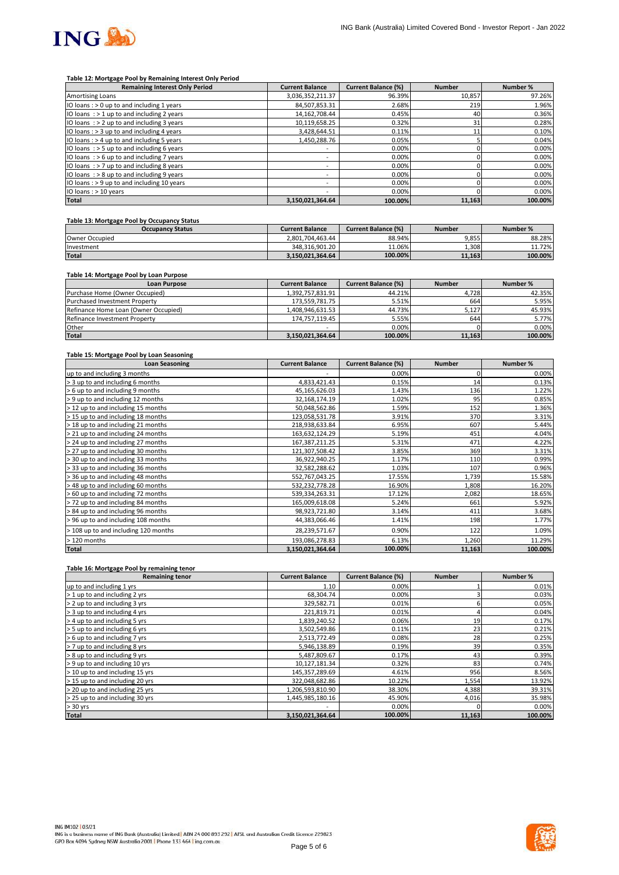

#### **Table 12: Mortgage Pool by Remaining Interest Only Period**

| <b>Remaining Interest Only Period</b>        | <b>Current Balance</b>   | <b>Current Balance (%)</b> | <b>Number</b> | Number % |
|----------------------------------------------|--------------------------|----------------------------|---------------|----------|
| <b>Amortising Loans</b>                      | 3,036,352,211.37         | 96.39%                     | 10,857        | 97.26%   |
| IO loans: $> 0$ up to and including 1 years  | 84,507,853.31            | 2.68%                      | 219           | 1.96%    |
| IO loans $:$ > 1 up to and including 2 years | 14, 162, 708.44          | 0.45%                      | 40            | 0.36%    |
| IO loans $:$ > 2 up to and including 3 years | 10,119,658.25            | 0.32%                      | 31            | 0.28%    |
| IO loans : > 3 up to and including 4 years   | 3,428,644.51             | 0.11%                      | 11            | 0.10%    |
| IO loans: > 4 up to and including 5 years    | 1,450,288.76             | 0.05%                      |               | 0.04%    |
| IO loans $:$ > 5 up to and including 6 years |                          | 0.00%                      |               | 0.00%    |
| IO loans: $> 6$ up to and including 7 years  | $\overline{\phantom{a}}$ | 0.00%                      |               | 0.00%    |
| IO loans $:$ > 7 up to and including 8 years | $\overline{\phantom{a}}$ | 0.00%                      |               | 0.00%    |
| IO loans $:$ > 8 up to and including 9 years |                          | 0.00%                      |               | 0.00%    |
| IO loans: > 9 up to and including 10 years   | $\overline{\phantom{a}}$ | 0.00%                      |               | 0.00%    |
| IO loans : > 10 years                        | -                        | 0.00%                      |               | 0.00%    |
| <b>Total</b>                                 | 3,150,021,364.64         | 100.00%                    | 11,163        | 100.00%  |

## **Table 13: Mortgage Pool by Occupancy Status**

| <b>Occupancy Status</b> | <b>Current Balance</b> | <b>Current Balance (%)</b> | <b>Number</b> | Number % |
|-------------------------|------------------------|----------------------------|---------------|----------|
| Owner Occupied          | 2.801.704.463.44       | 88.94%                     | 9.855         | 88.28%   |
| Investment              | 348.316.901.20         | 11.06%                     | 1.308         | 11.72%   |
| <b>Total</b>            | 3.150.021.364.64       | 100.00%                    | 11.163        | 100.00%  |

#### **Table 14: Mortgage Pool by Loan Purpose**

| <b>Loan Purpose</b>                  | <b>Current Balance</b> | <b>Current Balance (%)</b> | <b>Number</b> | Number % |
|--------------------------------------|------------------------|----------------------------|---------------|----------|
| Purchase Home (Owner Occupied)       | 1.392.757.831.91       | 44.21%                     | 4.728         | 42.35%   |
| Purchased Investment Property        | 173.559.781.75         | 5.51%                      | 664           | 5.95%    |
| Refinance Home Loan (Owner Occupied) | 1,408,946,631.53       | 44.73%                     | 5.127         | 45.93%   |
| Refinance Investment Property        | 174.757.119.45         | 5.55%                      | 644           | 5.77%    |
| Other                                |                        | 0.00%                      |               | $0.00\%$ |
| <b>Total</b>                         | 3,150,021,364.64       | 100.00%                    | 11,163        | 100.00%  |

#### **Table 15: Mortgage Pool by Loan Seasoning**

| <b>Loan Seasoning</b>                | <b>Current Balance</b> | <b>Current Balance (%)</b> | <b>Number</b> | Number % |
|--------------------------------------|------------------------|----------------------------|---------------|----------|
| up to and including 3 months         |                        | 0.00%                      | 0             | 0.00%    |
| > 3 up to and including 6 months     | 4,833,421.43           | 0.15%                      | 14            | 0.13%    |
| > 6 up to and including 9 months     | 45,165,626.03          | 1.43%                      | 136           | 1.22%    |
| > 9 up to and including 12 months    | 32,168,174.19          | 1.02%                      | 95            | 0.85%    |
| > 12 up to and including 15 months   | 50,048,562.86          | 1.59%                      | 152           | 1.36%    |
| > 15 up to and including 18 months   | 123,058,531.78         | 3.91%                      | 370           | 3.31%    |
| > 18 up to and including 21 months   | 218,938,633.84         | 6.95%                      | 607           | 5.44%    |
| > 21 up to and including 24 months   | 163,632,124.29         | 5.19%                      | 451           | 4.04%    |
| > 24 up to and including 27 months   | 167,387,211.25         | 5.31%                      | 471           | 4.22%    |
| > 27 up to and including 30 months   | 121,307,508.42         | 3.85%                      | 369           | 3.31%    |
| > 30 up to and including 33 months   | 36,922,940.25          | 1.17%                      | 110           | 0.99%    |
| > 33 up to and including 36 months   | 32,582,288.62          | 1.03%                      | 107           | 0.96%    |
| > 36 up to and including 48 months   | 552,767,043.25         | 17.55%                     | 1,739         | 15.58%   |
| > 48 up to and including 60 months   | 532,232,778.28         | 16.90%                     | 1,808         | 16.20%   |
| > 60 up to and including 72 months   | 539,334,263.31         | 17.12%                     | 2,082         | 18.65%   |
| > 72 up to and including 84 months   | 165,009,618.08         | 5.24%                      | 661           | 5.92%    |
| > 84 up to and including 96 months   | 98,923,721.80          | 3.14%                      | 411           | 3.68%    |
| > 96 up to and including 108 months  | 44,383,066.46          | 1.41%                      | 198           | 1.77%    |
| > 108 up to and including 120 months | 28,239,571.67          | 0.90%                      | 122           | 1.09%    |
| > 120 months                         | 193,086,278.83         | 6.13%                      | 1,260         | 11.29%   |
| <b>Total</b>                         | 3,150,021,364.64       | 100.00%                    | 11,163        | 100.00%  |

#### **Table 16: Mortgage Pool by remaining tenor**

| <b>Remaining tenor</b>          | <b>Current Balance</b> | <b>Current Balance (%)</b> | <b>Number</b> | Number % |
|---------------------------------|------------------------|----------------------------|---------------|----------|
| up to and including 1 yrs       | 1.10                   | 0.00%                      |               | 0.01%    |
| > 1 up to and including 2 yrs   | 68,304.74              | 0.00%                      |               | 0.03%    |
| > 2 up to and including 3 yrs   | 329,582.71             | 0.01%                      |               | 0.05%    |
| > 3 up to and including 4 yrs   | 221,819.71             | 0.01%                      |               | 0.04%    |
| > 4 up to and including 5 yrs   | 1,839,240.52           | 0.06%                      | 19            | 0.17%    |
| > 5 up to and including 6 yrs   | 3,502,549.86           | 0.11%                      | 23            | 0.21%    |
| > 6 up to and including 7 yrs   | 2,513,772.49           | 0.08%                      | 28            | 0.25%    |
| > 7 up to and including 8 yrs   | 5,946,138.89           | 0.19%                      | 39            | 0.35%    |
| > 8 up to and including 9 yrs   | 5,487,809.67           | 0.17%                      | 43            | 0.39%    |
| > 9 up to and including 10 yrs  | 10,127,181.34          | 0.32%                      | 83            | 0.74%    |
| > 10 up to and including 15 yrs | 145,357,289.69         | 4.61%                      | 956           | 8.56%    |
| > 15 up to and including 20 yrs | 322,048,682.86         | 10.22%                     | 1,554         | 13.92%   |
| > 20 up to and including 25 yrs | 1,206,593,810.90       | 38.30%                     | 4,388         | 39.31%   |
| > 25 up to and including 30 yrs | 1,445,985,180.16       | 45.90%                     | 4,016         | 35.98%   |
| $> 30$ yrs                      |                        | 0.00%                      |               | 0.00%    |
| <b>Total</b>                    | 3,150,021,364.64       | 100.00%                    | 11,163        | 100.00%  |